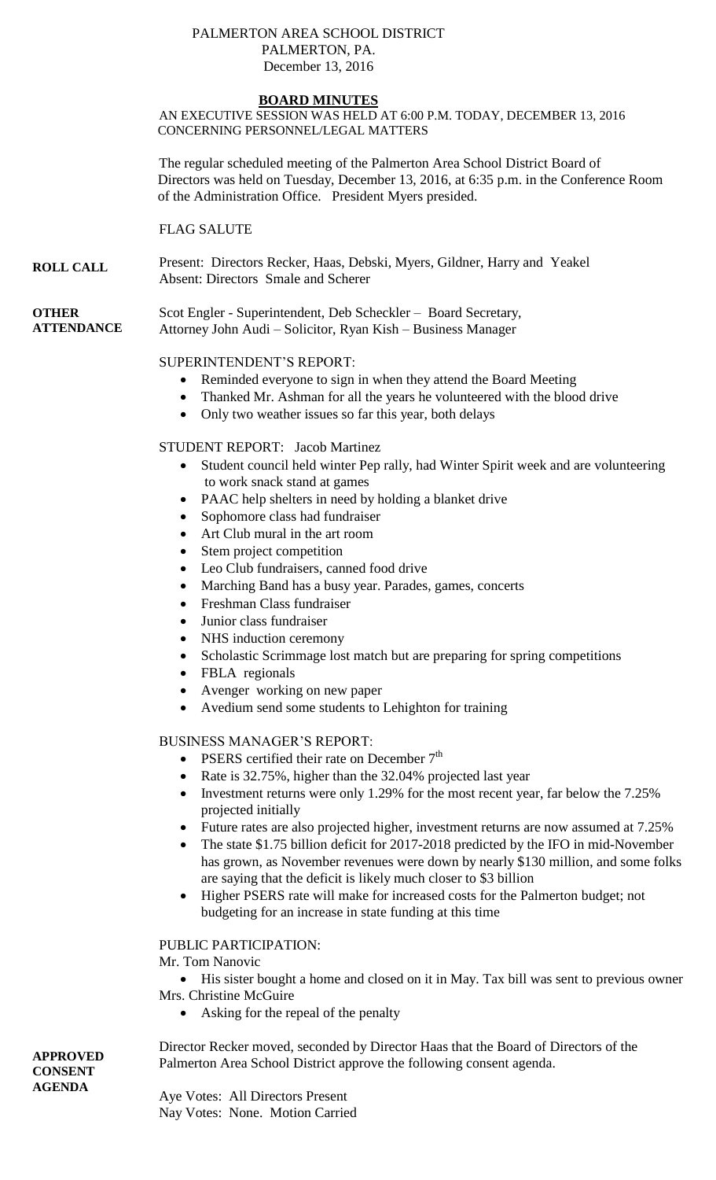#### PALMERTON AREA SCHOOL DISTRICT PALMERTON, PA. December 13, 2016

#### **BOARD MINUTES**

AN EXECUTIVE SESSION WAS HELD AT 6:00 P.M. TODAY, DECEMBER 13, 2016 CONCERNING PERSONNEL/LEGAL MATTERS

The regular scheduled meeting of the Palmerton Area School District Board of Directors was held on Tuesday, December 13, 2016, at 6:35 p.m. in the Conference Room of the Administration Office. President Myers presided.

FLAG SALUTE

**ROLL CALL** Present: Directors Recker, Haas, Debski, Myers, Gildner, Harry and Yeakel Absent: Directors Smale and Scherer

#### **OTHER ATTENDANCE**

Scot Engler - Superintendent, Deb Scheckler – Board Secretary, Attorney John Audi – Solicitor, Ryan Kish – Business Manager

# SUPERINTENDENT'S REPORT:

- Reminded everyone to sign in when they attend the Board Meeting
- Thanked Mr. Ashman for all the years he volunteered with the blood drive
- Only two weather issues so far this year, both delays

## STUDENT REPORT: Jacob Martinez

- Student council held winter Pep rally, had Winter Spirit week and are volunteering to work snack stand at games
- PAAC help shelters in need by holding a blanket drive
- Sophomore class had fundraiser
- Art Club mural in the art room
- Stem project competition
- Leo Club fundraisers, canned food drive
- Marching Band has a busy year. Parades, games, concerts
- Freshman Class fundraiser
- Junior class fundraiser
- NHS induction ceremony
- Scholastic Scrimmage lost match but are preparing for spring competitions
- FBLA regionals
- Avenger working on new paper
- Avedium send some students to Lehighton for training

# BUSINESS MANAGER'S REPORT:

- PSERS certified their rate on December  $7<sup>th</sup>$
- Rate is 32.75%, higher than the 32.04% projected last year
- Investment returns were only 1.29% for the most recent year, far below the 7.25% projected initially
- Future rates are also projected higher, investment returns are now assumed at 7.25%
- The state \$1.75 billion deficit for 2017-2018 predicted by the IFO in mid-November has grown, as November revenues were down by nearly \$130 million, and some folks are saying that the deficit is likely much closer to \$3 billion
- Higher PSERS rate will make for increased costs for the Palmerton budget; not budgeting for an increase in state funding at this time

## PUBLIC PARTICIPATION:

Mr. Tom Nanovic

 His sister bought a home and closed on it in May. Tax bill was sent to previous owner Mrs. Christine McGuire

• Asking for the repeal of the penalty

Director Recker moved, seconded by Director Haas that the Board of Directors of the Palmerton Area School District approve the following consent agenda.

Aye Votes: All Directors Present Nay Votes: None. Motion Carried

**APPROVED CONSENT AGENDA**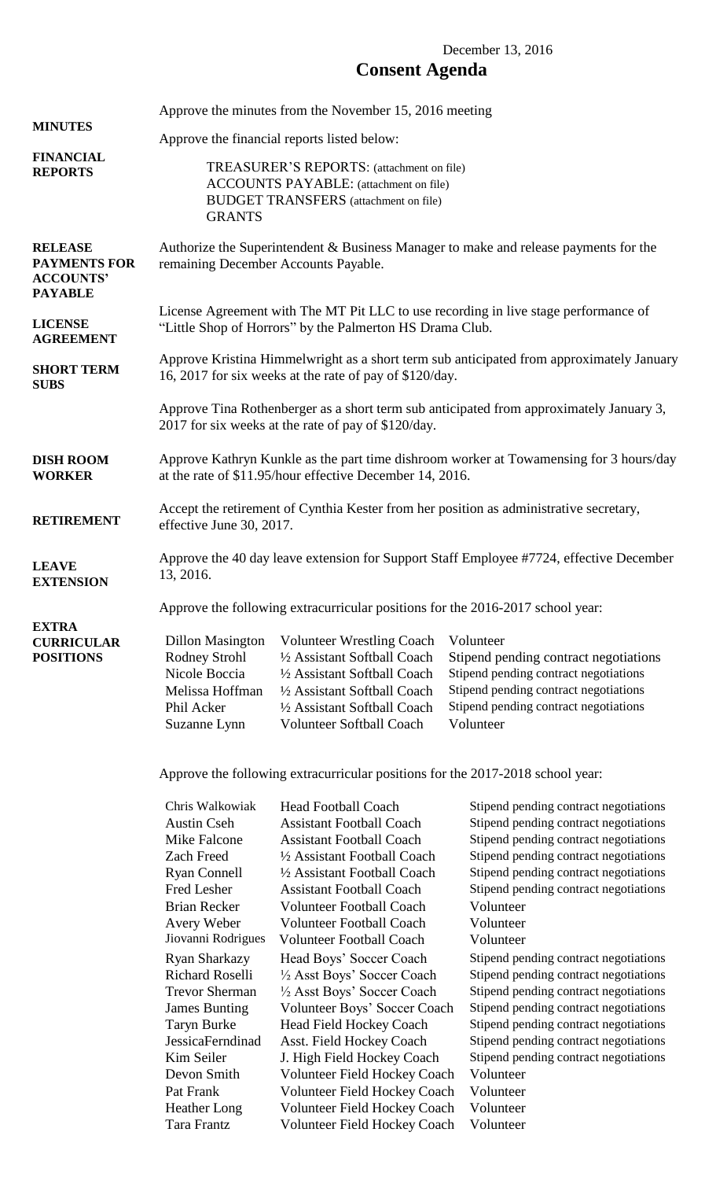# December 13, 2016 **Consent Agenda**

| <b>MINUTES</b><br><b>FINANCIAL</b><br><b>REPORTS</b>                        | Approve the minutes from the November 15, 2016 meeting                                                                                                      |                                                                                                                                                                                                     |                                                                                                                                                                                            |  |  |
|-----------------------------------------------------------------------------|-------------------------------------------------------------------------------------------------------------------------------------------------------------|-----------------------------------------------------------------------------------------------------------------------------------------------------------------------------------------------------|--------------------------------------------------------------------------------------------------------------------------------------------------------------------------------------------|--|--|
|                                                                             | Approve the financial reports listed below:                                                                                                                 |                                                                                                                                                                                                     |                                                                                                                                                                                            |  |  |
|                                                                             | TREASURER'S REPORTS: (attachment on file)<br><b>ACCOUNTS PAYABLE:</b> (attachment on file)<br><b>BUDGET TRANSFERS</b> (attachment on file)<br><b>GRANTS</b> |                                                                                                                                                                                                     |                                                                                                                                                                                            |  |  |
| <b>RELEASE</b><br><b>PAYMENTS FOR</b><br><b>ACCOUNTS'</b><br><b>PAYABLE</b> | Authorize the Superintendent & Business Manager to make and release payments for the<br>remaining December Accounts Payable.                                |                                                                                                                                                                                                     |                                                                                                                                                                                            |  |  |
| <b>LICENSE</b><br><b>AGREEMENT</b>                                          | License Agreement with The MT Pit LLC to use recording in live stage performance of<br>"Little Shop of Horrors" by the Palmerton HS Drama Club.             |                                                                                                                                                                                                     |                                                                                                                                                                                            |  |  |
| <b>SHORT TERM</b><br><b>SUBS</b>                                            | Approve Kristina Himmelwright as a short term sub anticipated from approximately January<br>16, 2017 for six weeks at the rate of pay of \$120/day.         |                                                                                                                                                                                                     |                                                                                                                                                                                            |  |  |
|                                                                             | Approve Tina Rothenberger as a short term sub anticipated from approximately January 3,<br>2017 for six weeks at the rate of pay of \$120/day.              |                                                                                                                                                                                                     |                                                                                                                                                                                            |  |  |
| <b>DISH ROOM</b><br><b>WORKER</b>                                           | Approve Kathryn Kunkle as the part time dishroom worker at Towamensing for 3 hours/day<br>at the rate of \$11.95/hour effective December 14, 2016.          |                                                                                                                                                                                                     |                                                                                                                                                                                            |  |  |
| <b>RETIREMENT</b>                                                           | Accept the retirement of Cynthia Kester from her position as administrative secretary,<br>effective June 30, 2017.                                          |                                                                                                                                                                                                     |                                                                                                                                                                                            |  |  |
| <b>LEAVE</b><br><b>EXTENSION</b>                                            | Approve the 40 day leave extension for Support Staff Employee #7724, effective December<br>13, 2016.                                                        |                                                                                                                                                                                                     |                                                                                                                                                                                            |  |  |
|                                                                             | Approve the following extracurricular positions for the 2016-2017 school year:                                                                              |                                                                                                                                                                                                     |                                                                                                                                                                                            |  |  |
| <b>EXTRA</b><br><b>CURRICULAR</b><br><b>POSITIONS</b>                       | <b>Dillon Masington</b><br><b>Rodney Strohl</b><br>Nicole Boccia<br>Melissa Hoffman<br>Phil Acker<br>Suzanne Lynn                                           | <b>Volunteer Wrestling Coach</b><br>1/2 Assistant Softball Coach<br>1/2 Assistant Softball Coach<br>1/2 Assistant Softball Coach<br>1/2 Assistant Softball Coach<br><b>Volunteer Softball Coach</b> | Volunteer<br>Stipend pending contract negotiations<br>Stipend pending contract negotiations<br>Stipend pending contract negotiations<br>Stipend pending contract negotiations<br>Volunteer |  |  |

Approve the following extracurricular positions for the 2017-2018 school year:

| Chris Walkowiak        | <b>Head Football Coach</b>          |   |
|------------------------|-------------------------------------|---|
| <b>Austin Cseh</b>     | <b>Assistant Football Coach</b>     |   |
| Mike Falcone           | <b>Assistant Football Coach</b>     | S |
| <b>Zach Freed</b>      | 1/2 Assistant Football Coach        | S |
| <b>Ryan Connell</b>    | 1/2 Assistant Football Coach        |   |
| Fred Lesher            | <b>Assistant Football Coach</b>     | S |
| <b>Brian Recker</b>    | <b>Volunteer Football Coach</b>     | V |
| <b>Avery Weber</b>     | <b>Volunteer Football Coach</b>     | V |
| Jiovanni Rodrigues     | <b>Volunteer Football Coach</b>     | 7 |
| <b>Ryan Sharkazy</b>   | Head Boys' Soccer Coach             | S |
| <b>Richard Roselli</b> | 1/2 Asst Boys' Soccer Coach         | S |
| <b>Trevor Sherman</b>  | 1/2 Asst Boys' Soccer Coach         |   |
| <b>James Bunting</b>   | Volunteer Boys' Soccer Coach        | S |
| <b>Taryn Burke</b>     | <b>Head Field Hockey Coach</b>      | S |
| JessicaFerndinad       | Asst. Field Hockey Coach            | S |
| Kim Seiler             | J. High Field Hockey Coach          | S |
| Devon Smith            | Volunteer Field Hockey Coach        | J |
| Pat Frank              | Volunteer Field Hockey Coach        | V |
| <b>Heather Long</b>    | Volunteer Field Hockey Coach        | J |
| Tara Frantz            | <b>Volunteer Field Hockey Coach</b> | J |
|                        |                                     |   |

Itipend pending contract negotiations Itipend pending contract negotiations Itipend pending contract negotiations Itipend pending contract negotiations Itipend pending contract negotiations Itipend pending contract negotiations Volunteer

- Volunteer
- Volunteer

Itipend pending contract negotiations Itipend pending contract negotiations tipend pending contract negotiations Itipend pending contract negotiations Itipend pending contract negotiations Itipend pending contract negotiations Itipend pending contract negotiations Volunteer

Volunteer

Volunteer

Volunteer